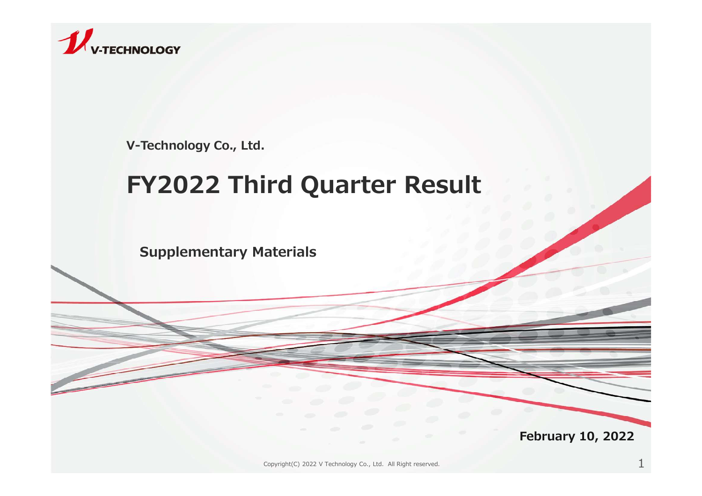

V-Technology Co., Ltd.

# FY2022 Third Quarter Result

Supplementary Materials

February 10, 2022

Copyright(C) 2022 V Technology Co., Ltd. All Right reserved.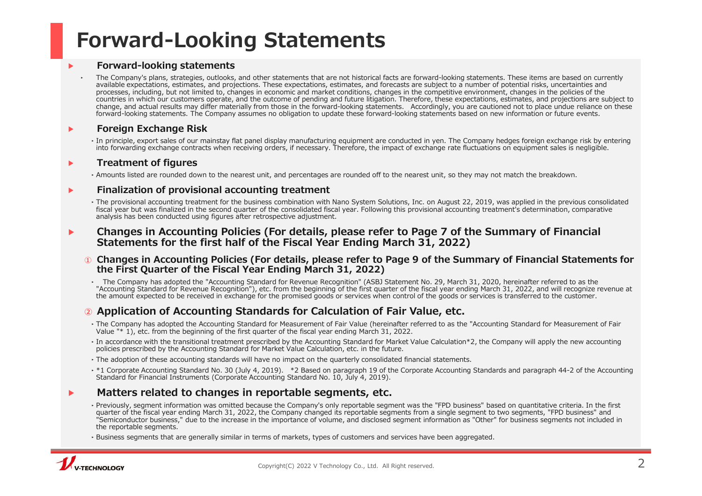## Forward-Looking Statements

#### ▶ Forward-looking statements

Forward-looking statements<br>
The Company's plans, strategies, outlooks, and other statements that are not historical facts are forward-looking statements. These items are based on currently<br>
The Company's plans, strategies, available expectations, estimates, and projections. These expectations, estimates, and forecasts are subject to a number of potential risks, uncertainties and processes, including, but not limited to, changes in economic and market conditions, changes in the competitive environment, changes in the policies of the countries in which our customers operate, and the outcome of pending and future litigation. Therefore, these expectations, estimates, and projections are subject to change, and actual results may differ materially from tho **Forward-looking statements**<br> **Forward-looking statements**<br> **Change Schools, and due religions** we also these experiments that are not historical facts are forward-looking statements. These increase and accordingly,<br>
and b forward-looking statements. The Company assumes no obligation to update these forward-looking statements based on new information or future events. company of Financial Charges in Accounting of Financial Charges in the Company of the Company and accounting the Company and the Company and the Company and the Company and the Company and the Company assumes to obligator

#### ▶ Foreign Exchange Risk

‣In principle, export sales of our mainstay flat panel display manufacturing equipment are conducted in yen. The Company hedges foreign exchange risk by entering into forwarding exchange contracts when receiving orders, if necessary. Therefore, the impact of exchange rate fluctuations on equipment sales is negligible.

#### ▶ Treatment of figures

‣Amounts listed are rounded down to the nearest unit, and percentages are rounded off to the nearest unit, so they may not match the breakdown.

#### ▶ Finalization of provisional accounting treatment

‣The provisional accounting treatment for the business combination with Nano System Solutions, Inc. on August 22, 2019, was applied in the previous consolidated fiscal year but was finalized in the second quarter of the consolidated fiscal year. Following this provisional accounting treatment's determination, comparative analysis has been conducted using figures after retrospective adjustment. The mean was depicted to the company assemes to obligatoric condition the first condition and the first condition in the first condition in the first condition in the first condition in the first condition in the first con

#### Changes in Accounting Policies (For details, please refer to Page 7 of the Summary of Financial Statements for the first half of the Fiscal Year Ending March 31, 2022)

① Changes in Accounting Policies (For details, please refer to Page 9 of the Summary of Financial Statements for the First Quarter of the Fiscal Year Ending March 31, 2022)

the amount expected to be received in exchange for the promised goods or services when control of the goods or services is transferred to the customer.

#### ② Application of Accounting Standards for Calculation of Fair Value, etc.

- ‣The Company has adopted the Accounting Standard for Measurement of Fair Value (hereinafter referred to as the "Accounting Standard for Measurement of Fair Value "\* 1), etc. from the beginning of the first quarter of the fiscal year ending March 31, 2022.
- ‣In accordance with the transitional treatment prescribed by the Accounting Standard for Market Value Calculation\*2, the Company will apply the new accounting policies prescribed by the Accounting Standard for Market Value Calculation, etc. in the future.
- ‣The adoption of these accounting standards will have no impact on the quarterly consolidated financial statements.
- \*1 Corporate Accounting Standard No. 30 (July 4, 2019). \*2 Based on paragraph 19 of the Corporate Accounting Standards and paragraph 44-2 of the Accounting Standard for Financial Instruments (Corporate Accounting Standard

#### ▶ Matters related to changes in reportable segments, etc.

- Finalization of provisional accounting treatment<br>
The properties are to the business contents of the Summer Corporation of the Corporation of the Summary of Financial<br>
Statements for the Summary of Financial<br>
Statements o ‣Previously, segment information was omitted because the Company's only reportable segment was the "FPD business" based on quantitative criteria. In the first quarter of the fiscal year ending March 31, 2022, the Company changed its reportable segments from a single segment to two segments, "FPD business" and The increase term is the increase in the importance of volume, and disclosed segment information as "Other" for business segments not included in the reportable segments.
- ‣Business segments that are generally similar in terms of markets, types of customers and services have been aggregated.

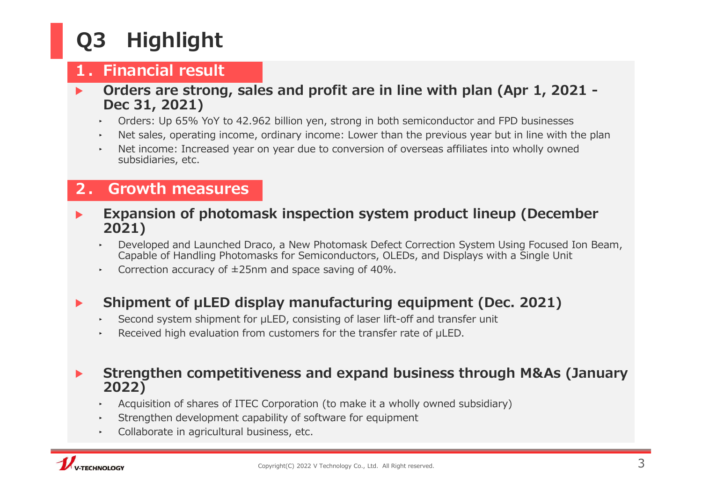### **1. Financial result 1. Financial result**

- **Q3** Highlight<br>1. Financial result<br>Criders are strong, sales and profit are in l<br>Dec 31, 2021)<br>Criders: Up 65% YoY to 42.962 billion yen, strong in both ▶ Orders are strong, sales and profit are in line with plan (Apr 1, 2021 -Dec 31, 2021) **2. Growth measures**<br> **2. Growth measures**<br> **2. Growth measures**<br> **2. Growth measures**<br> **2.** Calculation of photomask inspection sys<br> **2.** Crowth measures<br> **2.** Crowth measures<br> **2.** Computed by the measures<br> **2.** Compute
	- ‣ Orders: Up 65% YoY to 42.962 billion yen, strong in both semiconductor and FPD businesses
	- ‣ Net sales, operating income, ordinary income: Lower than the previous year but in line with the plan
	- ‣ Net income: Increased year on year due to conversion of overseas affiliates into wholly owned subsidiaries, etc.

#### 2. Growth measures

- Expansion of photomask inspection system product lineup (December 2021) • Orders: Up 65% YoY to 42.962 billion yen, strong in both semiconductor and FPD businesses<br>
• Net alos, operating income: Lower than the previous year but in line with the plan<br>
• Net income: Increased year on year due
	- ‣ Developed and Launched Draco, a New Photomask Defect Correction System Using Focused Ion Beam, Capable of Handling Photomasks for Semiconductors, OLEDs, and Displays with a Single Unit
	- $\sim$  Correction accuracy of  $\pm 25$ nm and space saving of 40%.

- 
- 

#### ▶ Strengthen competitiveness and expand business through M&As (January 2022)

- ‣ Acquisition of shares of ITEC Corporation (to make it a wholly owned subsidiary)
- ‣ Strengthen development capability of software for equipment
- ‣ Collaborate in agricultural business, etc.

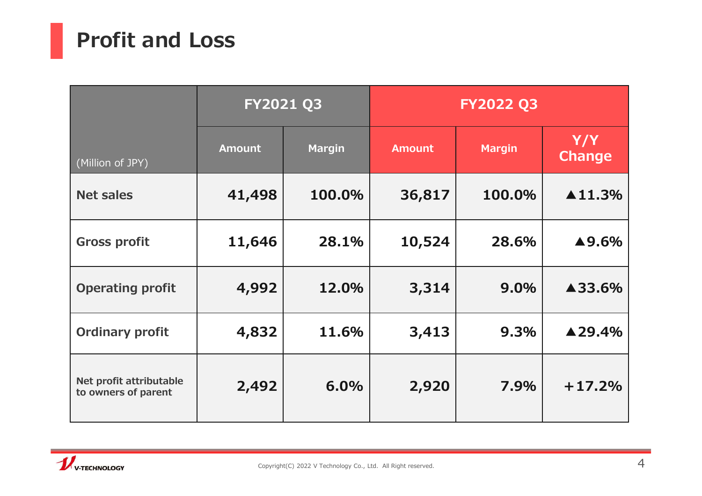# Profit and Loss

|                                                | FY2021 Q3     |               | <b>FY2022 Q3</b> |               |                         |
|------------------------------------------------|---------------|---------------|------------------|---------------|-------------------------|
| (Million of JPY)                               | <b>Amount</b> | <b>Margin</b> | <b>Amount</b>    | <b>Margin</b> | Y/Y<br><b>Change</b>    |
| <b>Net sales</b>                               | 41,498        | 100.0%        | 36,817           | 100.0%        | $\blacktriangle 11.3\%$ |
| <b>Gross profit</b>                            | 11,646        | 28.1%         | 10,524           | 28.6%         | $\blacktriangle$ 9.6%   |
| <b>Operating profit</b>                        | 4,992         | 12.0%         | 3,314            | 9.0%          | ▲33.6%                  |
| <b>Ordinary profit</b>                         | 4,832         | 11.6%         | 3,413            | 9.3%          | $\blacktriangle$ 29.4%  |
| Net profit attributable<br>to owners of parent | 2,492         | 6.0%          | 2,920            | 7.9%          | $+17.2%$                |

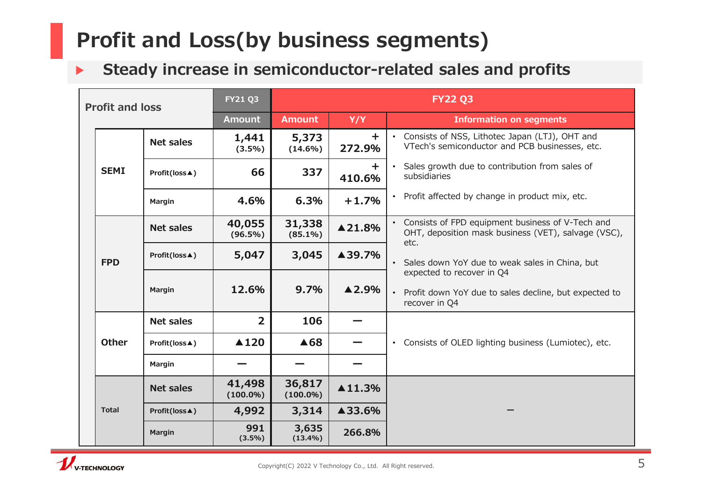# Profit and Loss(by business segments)

## ▶ Steady increase in semiconductor-related sales and profits

|                        |              |                  |                       |                       |                         | Steady increase in semiconductor-related sales and profits                                              |  |
|------------------------|--------------|------------------|-----------------------|-----------------------|-------------------------|---------------------------------------------------------------------------------------------------------|--|
| <b>Profit and loss</b> |              |                  | <b>FY21 Q3</b>        | <b>FY22 Q3</b>        |                         |                                                                                                         |  |
|                        |              |                  | <b>Amount</b>         | <b>Amount</b>         | Y/Y                     | <b>Information on segments</b>                                                                          |  |
|                        |              | <b>Net sales</b> | 1,441<br>$(3.5\%)$    | 5,373<br>$(14.6\%)$   | $\pm$<br>272.9%         | • Consists of NSS, Lithotec Japan (LTJ), OHT and<br>VTech's semiconductor and PCB businesses, etc.      |  |
|                        | <b>SEMI</b>  | Profit(loss▲)    | 66                    | 337                   | ÷.<br>410.6%            | Sales growth due to contribution from sales of<br>subsidiaries                                          |  |
|                        |              | Margin           | 4.6%                  | 6.3%                  | $+1.7%$                 | • Profit affected by change in product mix, etc.                                                        |  |
|                        |              | <b>Net sales</b> | 40,055<br>$(96.5\%)$  | 31,338<br>$(85.1\%)$  | ▲21.8%                  | Consists of FPD equipment business of V-Tech and<br>OHT, deposition mask business (VET), salvage (VSC), |  |
|                        | <b>FPD</b>   | Profit(loss▲)    | 5,047                 | 3,045                 | ▲39.7%                  | etc.<br>• Sales down YoY due to weak sales in China, but                                                |  |
|                        |              | <b>Margin</b>    | 12.6%                 | 9.7%                  | $\blacktriangle$ 2.9%   | expected to recover in Q4<br>• Profit down YoY due to sales decline, but expected to<br>recover in Q4   |  |
|                        |              | Net sales        | $\overline{2}$        | 106                   |                         |                                                                                                         |  |
|                        | <b>Other</b> | Profit(loss▲)    | $\triangle$ 120       | ▲68                   |                         | • Consists of OLED lighting business (Lumiotec), etc.                                                   |  |
|                        |              | Margin           |                       |                       |                         |                                                                                                         |  |
|                        |              | Net sales        | 41,498<br>$(100.0\%)$ | 36,817<br>$(100.0\%)$ | $\blacktriangle 11.3\%$ |                                                                                                         |  |
|                        | <b>Total</b> | Profit(loss▲)    | 4,992                 | 3,314                 | ▲33.6%                  |                                                                                                         |  |
|                        |              | <b>Margin</b>    | 991<br>$(3.5\%)$      | 3,635<br>$(13.4\%)$   | 266.8%                  |                                                                                                         |  |

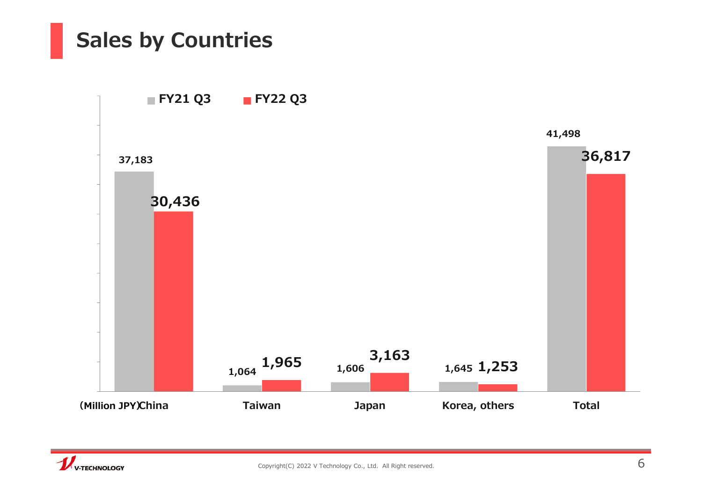# Sales by Countries



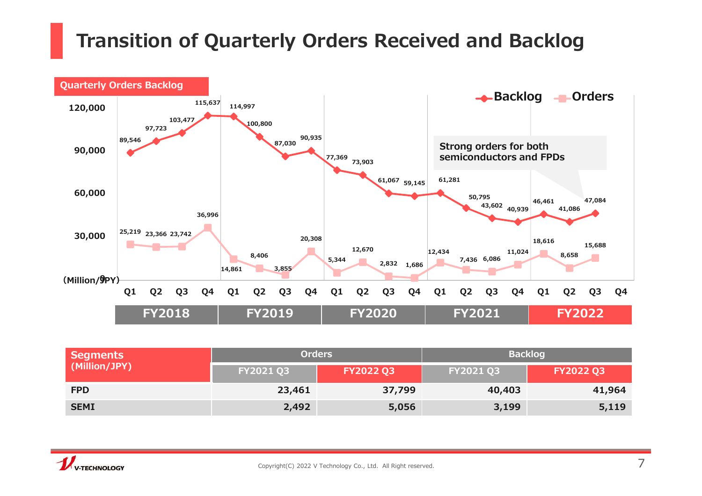## Transition of Quarterly Orders Received and Backlog



| Segments      | <b>Orders</b>    |                  | <b>Backlog</b> |                  |  |  |
|---------------|------------------|------------------|----------------|------------------|--|--|
| (Million/JPY) | <b>FY2021 Q3</b> | <b>FY2022 Q3</b> | FY2021 Q3      | <b>FY2022 Q3</b> |  |  |
| <b>FPD</b>    | 23,461           | 37,799           | 40,403         | 41,964           |  |  |
| <b>SEMI</b>   | 2,492            | 5,056            | 3,199          | 5,119            |  |  |

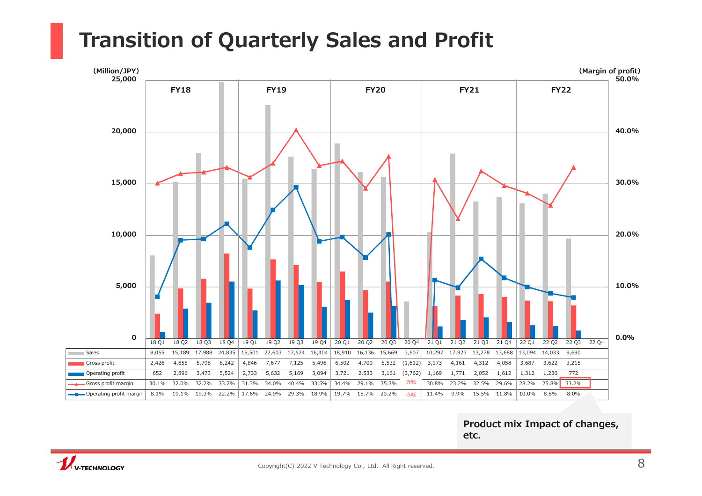## Transition of Quarterly Sales and Profit



Product mix Impact of changes, etc.

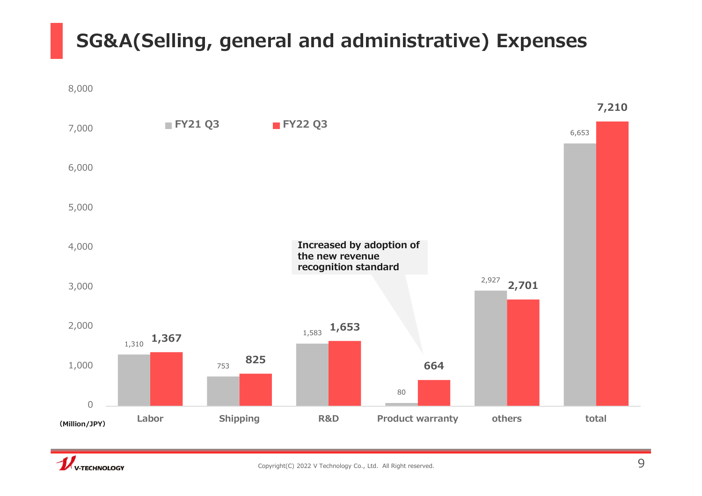## SG&A(Selling, general and administrative) Expenses



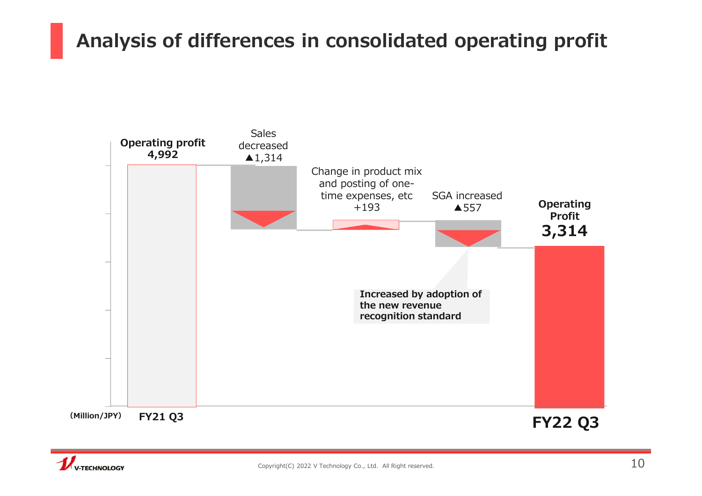## Analysis of differences in consolidated operating profit



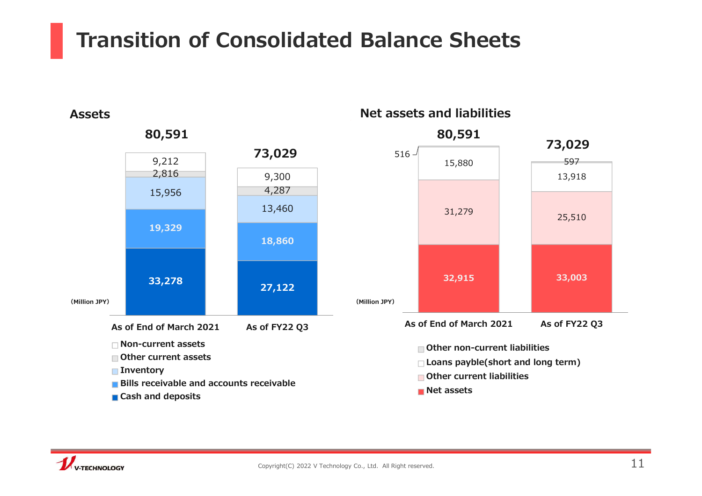## Transition of Consolidated Balance Sheets



#### Net assets and liabilities



**Net assets** 



Assets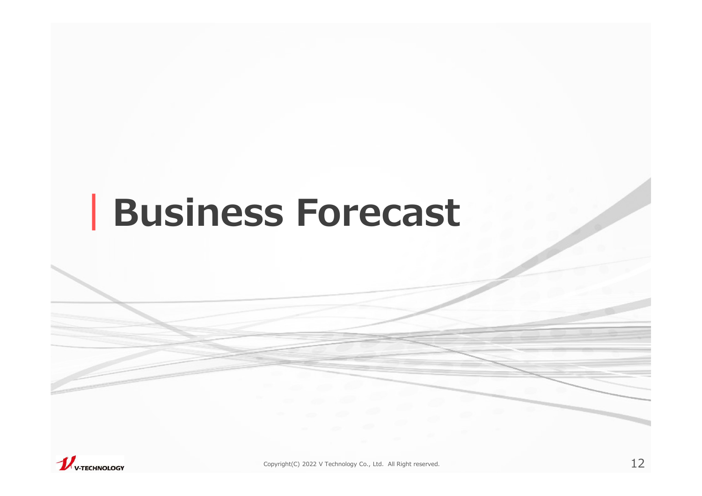# |Business Forecast

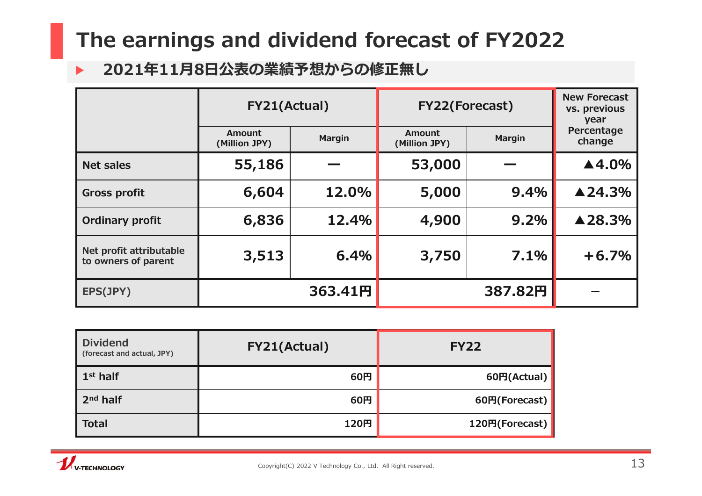# The earnings and dividend forecast of FY2022

### ▶ 2021年11月8日公表の業績予想からの修正無し

| The earnings and dividend forecast of FY2022   |                                          |               |                                |               |                                     |
|------------------------------------------------|------------------------------------------|---------------|--------------------------------|---------------|-------------------------------------|
| $\blacktriangleright$                          | 2021年11月8日公表の業績予想からの修正無し<br>FY21(Actual) |               | FY22(Forecast)                 |               | <b>New Forecast</b><br>vs. previous |
|                                                | <b>Amount</b><br>(Million JPY)           | <b>Margin</b> | <b>Amount</b><br>(Million JPY) | <b>Margin</b> | year<br>Percentage<br>change        |
| <b>Net sales</b>                               | 55,186                                   |               | 53,000                         |               | ▲4.0%                               |
| <b>Gross profit</b>                            | 6,604                                    | 12.0%         | 5,000                          | 9.4%          | ▲24.3%                              |
| <b>Ordinary profit</b>                         | 6,836                                    | 12.4%         | 4,900                          | 9.2%          | ▲28.3%                              |
| Net profit attributable<br>to owners of parent | 3,513                                    | 6.4%          | 3,750                          | 7.1%          | $+6.7%$                             |
| EPS(JPY)                                       | 363.41円                                  |               | 387.82円                        |               | $\sim$                              |
|                                                |                                          |               |                                |               |                                     |
| <b>Dividend</b><br>(forecast and actual, JPY)  | FY21(Actual)                             |               | <b>FY22</b>                    |               |                                     |
| $1st$ half                                     |                                          | 60円           | 60円(Actual)                    |               |                                     |
| 2 <sup>nd</sup> half                           |                                          | 60円           | 60円(Forecast)                  |               |                                     |
| <b>Total</b>                                   |                                          | 120円          | 120円(Forecast)                 |               |                                     |

| Net profit attributable<br>to owners of parent                                      | 3,513        | 6.4%    | 3,750          | 7.1%          | $+6.7%$ |    |
|-------------------------------------------------------------------------------------|--------------|---------|----------------|---------------|---------|----|
| EPS(JPY)                                                                            |              | 363.41円 |                | 387.82円       |         |    |
|                                                                                     |              |         |                |               |         |    |
| <b>Dividend</b><br>(forecast and actual, JPY)                                       | FY21(Actual) |         | <b>FY22</b>    |               |         |    |
| $1st$ half                                                                          |              | 60円     |                | 60円(Actual)   |         |    |
| $2nd$ half                                                                          |              | 60円     |                | 60円(Forecast) |         |    |
| <b>Total</b>                                                                        |              | 120円    | 120円(Forecast) |               |         |    |
| Copyright(C) 2022 V Technology Co., Ltd. All Right reserved.<br><b>V-TECHNOLOGY</b> |              |         |                |               |         | 13 |